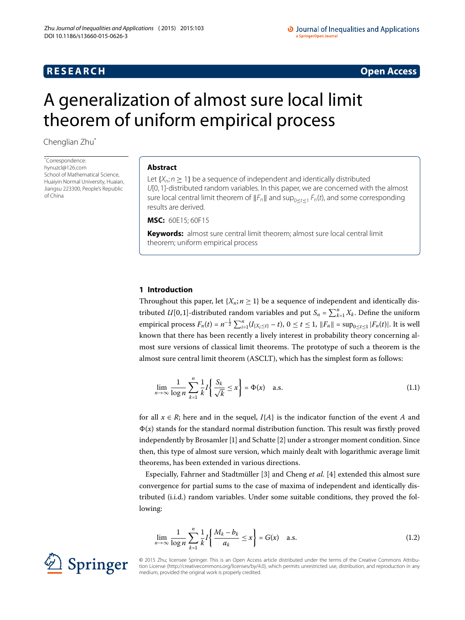# **R E S E A R C H Open Access**

#### O Journal of Inequalities and Applications a SpringerOpen Journal

# <span id="page-0-0"></span>A generalization of almost sure local limit theorem of uniform empirical process

Chenglian Zhu[\\*](#page-0-0)

\* Correspondence: [hynuzcl@126.com](mailto:hynuzcl@126.com) School of Mathematical Science, Huaiyin Normal University, Huaian, Jiangsu 223300, People's Republic of China

### **Abstract**

Let  $\{X_n; n \geq 1\}$  be a sequence of independent and identically distributed U[0, 1]-distributed random variables. In this paper, we are concerned with the almost sure local central limit theorem of  $||F_n||$  and sup<sub>0<t<1</sub>  $F_n(t)$ , and some corresponding results are derived.

**MSC:** 60E15; 60F15

**Keywords:** almost sure central limit theorem; almost sure local central limit theorem; uniform empirical process

# **1 Introduction**

Throughout this paper, let  $\{X_n; n \geq 1\}$  be a sequence of independent and identically distributed *U*[0,1]-distributed random variables and put  $S_n = \sum_{k=1}^n X_k$ . Define the uniform empirical process  $F_n(t) = n^{-\frac{1}{2}} \sum_{i=1}^n (I_{\{X_i \le t\}} - t)$ ,  $0 \le t \le 1$ ,  $||F_n|| = \sup_{0 \le t \le 1} |F_n(t)|$ . It is well known that there has been recently a lively interest in probability theory concerning almost sure versions of classical limit theorems. The prototype of such a theorem is the almost sure central limit theorem (ASCLT), which has the simplest form as follows:

<span id="page-0-2"></span>
$$
\lim_{n \to \infty} \frac{1}{\log n} \sum_{k=1}^{n} \frac{1}{k} I\left\{ \frac{S_k}{\sqrt{k}} \le x \right\} = \Phi(x) \quad \text{a.s.} \tag{1.1}
$$

for all  $x \in R$ ; here and in the sequel,  $I\{A\}$  is the indicator function of the event *A* and  $\Phi(x)$  stands for the standard normal distribution function. This result was firstly proved independently by Brosamler [\[](#page-6-1)1] and Schatte [2] under a stronger moment condition. Since then, this type of almost sure version, which mainly dealt with logarithmic average limit theorems, has been extended in various directions.

Especially, Fahrner and Stadtmüller [3[\]](#page-6-2) and Cheng *et al.* [4] extended this almost sure convergence for partial sums to the case of maxima of independent and identically distributed (i.i.d.) random variables. Under some suitable conditions, they proved the following:

<span id="page-0-1"></span>
$$
\lim_{n \to \infty} \frac{1}{\log n} \sum_{k=1}^{n} \frac{1}{k} I\left\{ \frac{M_k - b_k}{a_k} \le x \right\} = G(x) \quad \text{a.s.} \tag{1.2}
$$



© 2015 Zhu; licensee Springer. This is an Open Access article distributed under the terms of the Creative Commons Attribution License (http://creativecommons.org/licenses/by/4.0), which permits unrestricted use, distribution, and reproduction in any medium, provided the original work is properly credited.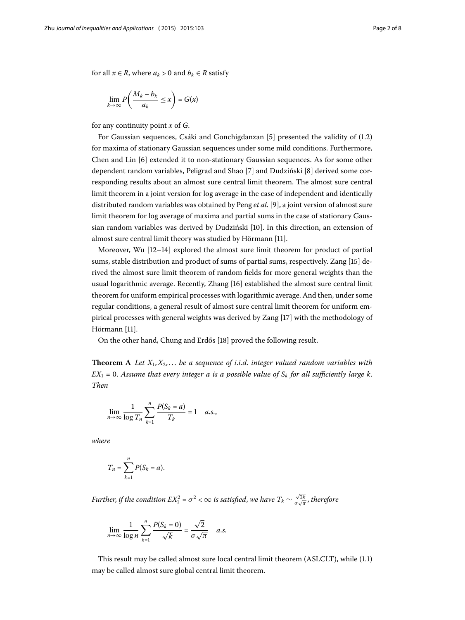for all  $x \in R$ , where  $a_k > 0$  and  $b_k \in R$  satisfy

$$
\lim_{k\to\infty} P\left(\frac{M_k-b_k}{a_k}\leq x\right)=G(x)
$$

for any continuity point *x* of *G*.

For Gaussian sequences, Csáki and Gonchigdanzan  $[5]$  $[5]$  presented the validity of  $(1.2)$  $(1.2)$  $(1.2)$ for maxima of stationary Gaussian sequences under some mild conditions. Furthermore, Chen and Lin [6] extended it to non-stationary Gaussian sequences. As for some other dependent random variables, Peligrad and Shao [\[](#page-6-7)7] and Dudziński [8] derived some corresponding results about an almost sure central limit theorem. The almost sure central limit theorem in a joint version for log average in the case of independent and identically distributed random variables was obtained by Peng *et al.* [9], a joint version of almost sure limit theorem for log average of maxima and partial sums in the case of stationary Gaus-sian random variables was derived by Dudziński [\[](#page-6-9)10]. In this direction, an extension of almost sure central limit theory was studied by Hörmann [11].

Moreover, Wu  $[12-14]$  $[12-14]$  explored the almost sure limit theorem for product of partial sums, stable distribution and product of sums of partial sums, respectively. Zang [\[](#page-6-13)15] derived the almost sure limit theorem of random fields for more general weights than the usual logarithmic average. Recently, Zhang [[\]](#page-6-14) established the almost sure central limit theorem for uniform empirical processes with logarithmic average. And then, under some regular conditions, a general result of almost sure central limit theorem for uniform empirical processes with general weights was derived by Zang [\[](#page-6-15)] with the methodology of Hörmann [11].

On the other hand, Chung and Erdős [] proved the following result.

**Theorem** A Let  $X_1, X_2, \ldots$  be a sequence of *i.i.d.* integer valued random variables with  $EX_1 = 0$ . Assume that every integer a is a possible value of  $S_k$  for all sufficiently large k. *Then*

$$
\lim_{n\to\infty}\frac{1}{\log T_n}\sum_{k=1}^n\frac{P(S_k=a)}{T_k}=1\quad a.s.,
$$

*where*

$$
T_n = \sum_{k=1}^n P(S_k = a).
$$

*Further, if the condition EX* $_1^2$  *=*  $\sigma^2$  *<*  $\infty$  *is satisfied, we have T<sub>k</sub>*  $\sim \frac{\sqrt{2k}}{\sigma \sqrt{\pi}}$ *, therefore* 

$$
\lim_{n\to\infty}\frac{1}{\log n}\sum_{k=1}^n\frac{P(S_k=0)}{\sqrt{k}}=\frac{\sqrt{2}}{\sigma\sqrt{\pi}}\quad a.s.
$$

This result may be called almost sure local central limit theorem (ASLCLT), while (1[.](#page-0-2)1) may be called almost sure global central limit theorem.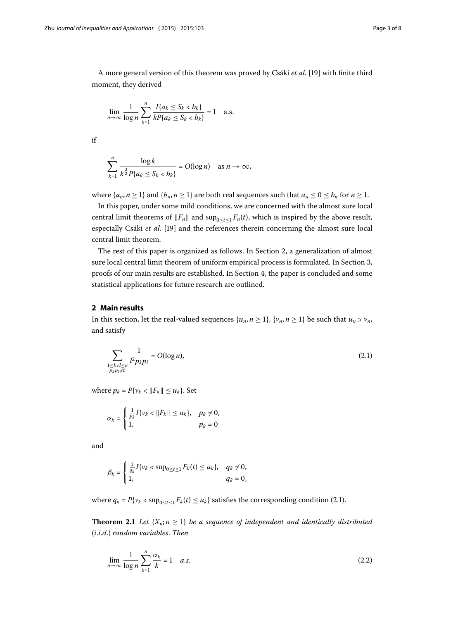A more general version of this theorem was proved by Csáki *et al.* [\[\]](#page-7-1) with finite third moment, they derived

$$
\lim_{n \to \infty} \frac{1}{\log n} \sum_{k=1}^{n} \frac{I\{a_k \leq S_k < b_k\}}{k P\{a_k \leq S_k < b_k\}} = 1 \quad \text{a.s.}
$$

if

$$
\sum_{k=1}^n \frac{\log k}{k^{\frac{3}{2}} P\{a_k \leq S_k < b_k\}} = O(\log n) \quad \text{as } n \to \infty,
$$

where  $\{a_n, n \geq 1\}$  and  $\{b_n, n \geq 1\}$  are both real sequences such that  $a_n \leq 0 \leq b_n$  for  $n \geq 1$ .

In this paper, under some mild conditions, we are concerned with the almost sure local central limit theorems of  $||F_n||$  and  $\sup_{0 \le t \le 1} F_n(t)$ , which is inspired by the above result, especially Csáki et al. [19] and the references therein concerning the almost sure local central limit theorem.

<span id="page-2-0"></span>The rest of this paper is organized as follows. In Section 2[,](#page-2-0) a generalization of almost sure local central limit theorem of uniform empirical process is formulated. In Section 3[,](#page-3-0) proofs of our main results are established. In Section 4, the paper is concluded and some statistical applications for future research are outlined.

## **2 Main results**

In this section, let the real-valued sequences  $\{u_n, n \geq 1\}$ ,  $\{v_n, n \geq 1\}$  be such that  $u_n > v_n$ , and satisfy

<span id="page-2-1"></span>
$$
\sum_{\substack{1 \le k < l \le n \\ p_k p_l \neq 0}} \frac{1}{l^2 p_k p_l} = O(\log n),\tag{2.1}
$$

where  $p_k = P\{v_k < ||F_k|| \le u_k\}$ . Set

$$
\alpha_k = \begin{cases} \frac{1}{p_k} I\{v_k < ||F_k|| \le u_k\}, & p_k \neq 0, \\ 1, & p_k = 0 \end{cases}
$$

<span id="page-2-2"></span>and

$$
\beta_k = \begin{cases} \frac{1}{q_k} I\{v_k < \sup_{0 \le t \le 1} F_k(t) \le u_k\}, & q_k \ne 0, \\ 1, & q_k = 0, \end{cases}
$$

where  $q_k = P\{v_k < \sup_{0 \le t \le 1} F_k(t) \le u_k\}$  satisfies the corresponding condition (2[.](#page-2-1)1).

**Theorem 2.1** Let  $\{X_n; n \geq 1\}$  be a sequence of independent and identically distributed (*i*.*i*.*d*.) *random variables*. *Then*

$$
\lim_{n \to \infty} \frac{1}{\log n} \sum_{k=1}^{n} \frac{\alpha_k}{k} = 1 \quad a.s. \tag{2.2}
$$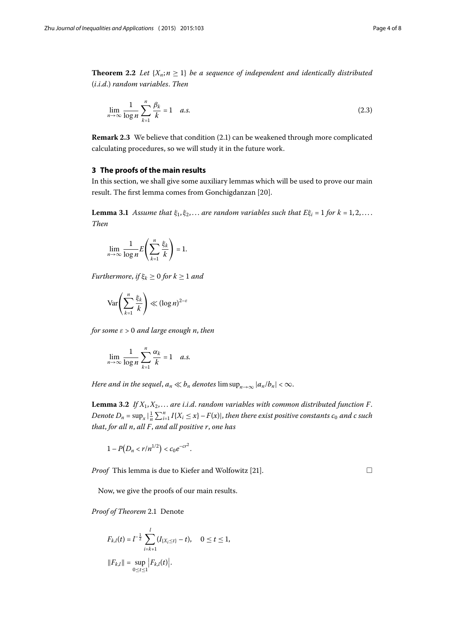<span id="page-3-3"></span><span id="page-3-0"></span>**Theorem 2.2** Let  $\{X_n; n \geq 1\}$  be a sequence of independent and identically distributed (*i*.*i*.*d*.) *random variables*. *Then*

$$
\lim_{n \to \infty} \frac{1}{\log n} \sum_{k=1}^{n} \frac{\beta_k}{k} = 1 \quad a.s.
$$
\n(2.3)

<span id="page-3-1"></span>**Remark 2.3** We believe that condition (2.1) can be weakened through more complicated calculating procedures, so we will study it in the future work.

#### **3 The proofs of the main results**

In this section, we shall give some auxiliary lemmas which will be used to prove our main result. The first lemma comes from Gonchigdanzan [20].

**Lemma 3.1** Assume that  $\xi_1, \xi_2, \ldots$  are random variables such that  $E\xi_i = 1$  for  $k = 1, 2, \ldots$ . *Then*

$$
\lim_{n\to\infty}\frac{1}{\log n}E\left(\sum_{k=1}^n\frac{\xi_k}{k}\right)=1.
$$

*Furthermore*, *if*  $\xi_k \geq 0$  for  $k \geq 1$  and

$$
\operatorname{Var}\!\left(\sum_{k=1}^n\frac{\xi_k}{k}\right)\ll (\log n)^{2-\varepsilon}
$$

<span id="page-3-2"></span>*for some ε* > *and large enough n*, *then*

$$
\lim_{n \to \infty} \frac{1}{\log n} \sum_{k=1}^{n} \frac{\alpha_k}{k} = 1 \quad a.s.
$$

*Here and in the sequel,*  $a_n \ll b_n$  *denotes*  $\limsup_{n\to\infty} |a_n/b_n| < \infty$ *.* 

**Lemma 3.2** If  $X_1, X_2, \ldots$  are *i.i.d.* random variables with common distributed function F. Denote  $D_n = \sup_x |\frac{1}{n} \sum_{i=1}^n I\{X_i \leq x\} - F(x)|$ , then there exist positive constants  $c_0$  and  $c$  such *that*, *for all n*, *all F*, *and all positive r*, *one has*

$$
1-P(D_n
$$

*Proof* This lemma is due to Kiefer and Wolfowitz [\[](#page-7-3)21].

 $\Box$ 

Now, we give the proofs of our main results.

**Proof of Theorem 2[.](#page-2-2)1 Denote** 

$$
F_{k,l}(t) = l^{-\frac{1}{2}} \sum_{i=k+1}^{l} (I_{\{X_i \le t\}} - t), \quad 0 \le t \le 1,
$$
  

$$
||F_{k,l}|| = \sup_{0 \le t \le 1} |F_{k,l}(t)|.
$$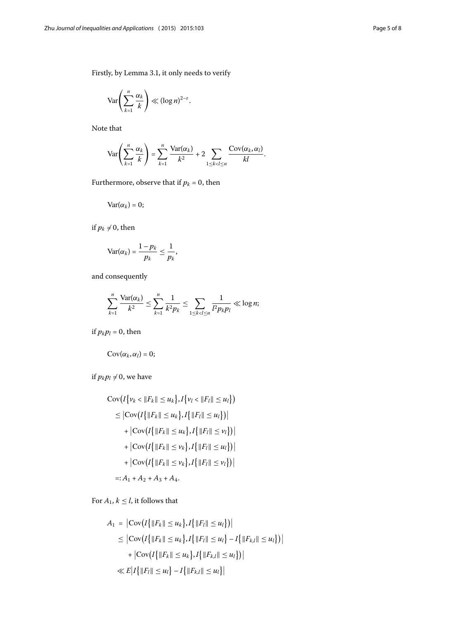Firstly, by Lemma 3[.](#page-3-1)1, it only needs to verify

$$
\text{Var}\!\left(\sum_{k=1}^n \frac{\alpha_k}{k}\right) \ll (\log n)^{2-\varepsilon}.
$$

Note that

$$
\text{Var}\left(\sum_{k=1}^n \frac{\alpha_k}{k}\right) = \sum_{k=1}^n \frac{\text{Var}(\alpha_k)}{k^2} + 2 \sum_{1 \leq k < l \leq n} \frac{\text{Cov}(\alpha_k, \alpha_l)}{kl}.
$$

Furthermore, observe that if  $p_k$  = 0, then

$$
\text{Var}(\alpha_k)=0;
$$

if  $p_k\neq 0$ , then

$$
\text{Var}(\alpha_k) = \frac{1-p_k}{p_k} \leq \frac{1}{p_k},
$$

and consequently

$$
\sum_{k=1}^n \frac{\text{Var}(\alpha_k)}{k^2} \leq \sum_{k=1}^n \frac{1}{k^2 p_k} \leq \sum_{1 \leq k < l \leq n} \frac{1}{l^2 p_k p_l} \ll \log n;
$$

if  $p_k p_l = 0$ , then

$$
\text{Cov}(\alpha_k,\alpha_l)=0;
$$

if  $p_k p_l \neq 0$ , we have

$$
\begin{aligned} \text{Cov}\big(I\big\{\nu_k < \|F_k\| \le u_k\big\}, I\big\{\nu_l < \|F_l\| \le u_l\big\}\big) \\ &\le \big|\text{Cov}\big(I\big\{\|F_k\| \le u_k\big\}, I\big\{\|F_l\| \le u_l\big\}\big)\big| \\ &+ \big|\text{Cov}\big(I\big\{\|F_k\| \le u_k\big\}, I\big\{\|F_l\| \le v_l\big\}\big)\big| \\ &+ \big|\text{Cov}\big(I\big\{\|F_k\| \le v_k\big\}, I\big\{\|F_l\| \le u_l\big\}\big)\big| \\ &+ \big|\text{Cov}\big(I\big\{\|F_k\| \le v_k\big\}, I\big\{\|F_l\| \le u_l\big\}\big)\big| \\ &+ \big|\text{Cov}\big(I\big\{\|F_k\| \le v_k\big\}, I\big\{\|F_l\| \le v_l\big\}\big)\big| \\ &=: A_1 + A_2 + A_3 + A_4. \end{aligned}
$$

For  $A_1$ ,  $k \leq l$ , it follows that

$$
A_1 = |\text{Cov}(I\{\|F_k\| \le u_k\}, I\{\|F_l\| \le u_l\})|
$$
  
\n
$$
\le |\text{Cov}(I\{\|F_k\| \le u_k\}, I\{\|F_l\| \le u_l\} - I\{\|F_{k,l}\| \le u_l\})|
$$
  
\n
$$
+ |\text{Cov}(I\{\|F_k\| \le u_k\}, I\{\|F_{k,l}\| \le u_l\})|
$$
  
\n
$$
\ll E|I\{\|F_l\| \le u_l\} - I\{\|F_{k,l}\| \le u_l\}|
$$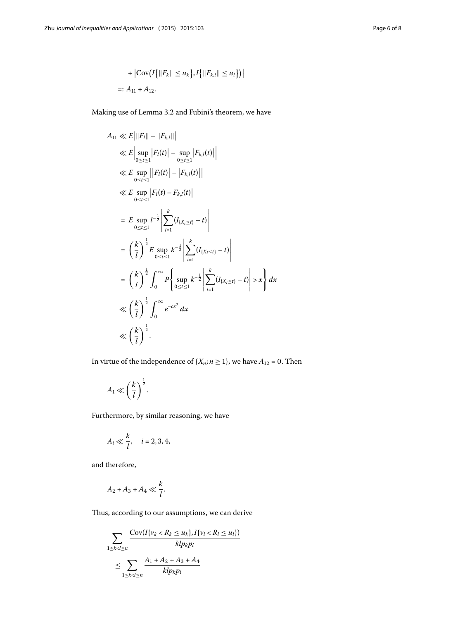+ 
$$
|\text{Cov}(I\{|F_k\| \le u_k\}, I\{|F_{k,l}\| \le u_l\})|
$$
  
=:  $A_{11} + A_{12}$ .

Making use of Lemma 3[.](#page-3-2)2 and Fubini's theorem, we have

$$
A_{11} \ll E \left| \|F_{l}\| - \|F_{k,l}\| \right|
$$
  
\n
$$
\ll E \left| \sup_{0 \le t \le 1} |F_{l}(t)| - \sup_{0 \le t \le 1} |F_{k,l}(t)| \right|
$$
  
\n
$$
\ll E \sup_{0 \le t \le 1} |F_{l}(t)| - |F_{k,l}(t)|
$$
  
\n
$$
\ll E \sup_{0 \le t \le 1} |F_{l}(t) - F_{k,l}(t)|
$$
  
\n
$$
= E \sup_{0 \le t \le 1} l^{-\frac{1}{2}} \left| \sum_{i=1}^{k} (I_{\{X_{i} \le t\}} - t) \right|
$$
  
\n
$$
= \left( \frac{k}{l} \right)^{\frac{1}{2}} E \sup_{0 \le t \le 1} k^{-\frac{1}{2}} \left| \sum_{i=1}^{k} (I_{\{X_{i} \le t\}} - t) \right|
$$
  
\n
$$
= \left( \frac{k}{l} \right)^{\frac{1}{2}} \int_{0}^{\infty} P \left\{ \sup_{0 \le t \le 1} k^{-\frac{1}{2}} \left| \sum_{i=1}^{k} (I_{\{X_{i} \le t\}} - t) \right| > x \right\} dx
$$
  
\n
$$
\ll \left( \frac{k}{l} \right)^{\frac{1}{2}} \int_{0}^{\infty} e^{-cx^{2}} dx
$$
  
\n
$$
\ll \left( \frac{k}{l} \right)^{\frac{1}{2}}.
$$

In virtue of the independence of  $\{X_n; n \geq 1\}$ , we have  $A_{12} = 0$ . Then

$$
A_1 \ll \left(\frac{k}{l}\right)^{\frac{1}{2}}.
$$

Furthermore, by similar reasoning, we have

$$
A_i \ll \frac{k}{l}, \quad i = 2, 3, 4,
$$

and therefore,

$$
A_2 + A_3 + A_4 \ll \frac{k}{l}.
$$

Thus, according to our assumptions, we can derive

$$
\sum_{1 \le k < l \le n} \frac{\text{Cov}(I\{v_k < R_k \le u_k\}, I\{v_l < R_l \le u_l\})}{klp_kp_l}
$$
\n
$$
\le \sum_{1 \le k < l \le n} \frac{A_1 + A_2 + A_3 + A_4}{klp_kp_l}
$$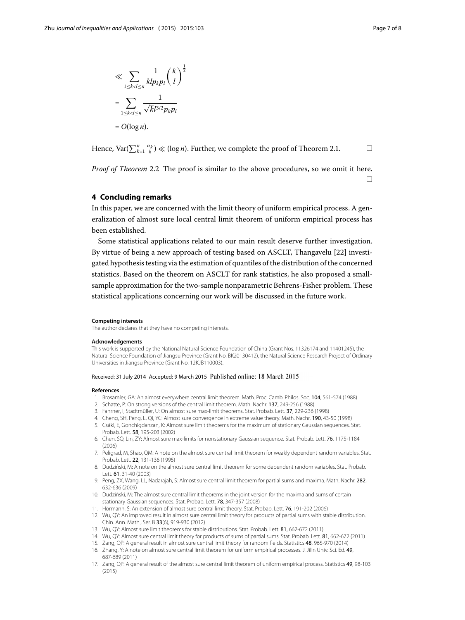$\Box$ 

$$
\ll \sum_{1 \le k < l \le n} \frac{1}{klp_k p_l} \left(\frac{k}{l}\right)^{\frac{1}{2}}
$$
\n
$$
= \sum_{1 \le k < l \le n} \frac{1}{\sqrt{k}l^{3/2}p_k p_l}
$$
\n
$$
= O(\log n).
$$

<span id="page-6-16"></span>Hence,  $\text{Var}(\sum_{k=1}^{n} \frac{\alpha_k}{k}) \ll (\log n)$ . Further, we complete the proof of Theorem 2.1.

*Proof of Theorem* 2[.](#page-3-3)2 The proof is similar to the above procedures, so we omit it here.

# **4 Concluding remarks**

In this paper, we are concerned with the limit theory of uniform empirical process. A generalization of almost sure local central limit theorem of uniform empirical process has been established.

Some statistical applications related to our main result deserve further investigation. By virtue of being a new approach of testing based on ASCLT, Thangavelu [22[\]](#page-7-4) investigated hypothesis testing via the estimation of quantiles of the distribution of the concerned statistics. Based on the theorem on ASCLT for rank statistics, he also proposed a smallsample approximation for the two-sample nonparametric Behrens-Fisher problem. These statistical applications concerning our work will be discussed in the future work.

#### **Competing interests**

<span id="page-6-1"></span><span id="page-6-0"></span>The author declares that they have no competing interests.

#### <span id="page-6-2"></span>**Acknowledgements**

<span id="page-6-4"></span><span id="page-6-3"></span>This work is supported by the National Natural Science Foundation of China (Grant Nos. 11326174 and 11401245), the Natural Science Foundation of Jiangsu Province (Grant No. BK20130412), the Natural Science Research Project of Ordinary Universities in Jiangsu Province (Grant No. 12KJB110003).

#### <span id="page-6-6"></span><span id="page-6-5"></span>Received: 31 July 2014 Accepted: 9 March 2015 Published online: 18 March 2015

#### <span id="page-6-7"></span>**References**

- 1. Brosamler, GA: An almost everywhere central limit theorem. Math. Proc. Camb. Philos. Soc. 104, 561-574 (1988)
- 2. Schatte, P: On strong versions of the central limit theorem. Math. Nachr. 137, 249-256 (1988)
- <span id="page-6-8"></span>3. Fahrner, I, Stadtmüller, U: On almost sure max-limit theorems. Stat. Probab. Lett. 37, 229-236 (1998)
- 4. Cheng, SH, Peng, L, Qi, YC: Almost sure convergence in extreme value theory. Math. Nachr. 190, 43-50 (1998)
- <span id="page-6-9"></span>5. Csáki, E, Gonchigdanzan, K: Almost sure limit theorems for the maximum of stationary Gaussian sequences. Stat. Probab. Lett. 58, 195-203 (2002)
- <span id="page-6-11"></span><span id="page-6-10"></span>6. Chen, SQ, Lin, ZY: Almost sure max-limits for nonstationary Gaussian sequence. Stat. Probab. Lett. 76, 1175-1184 (2006)
- 7. Peligrad, M, Shao, QM: A note on the almost sure central limit theorem for weakly dependent random variables. Stat. Probab. Lett. 22, 131-136 (1995)
- <span id="page-6-13"></span><span id="page-6-12"></span>8. Dudziński, M: A note on the almost sure central limit theorem for some dependent random variables. Stat. Probab. Lett. 61, 31-40 (2003).
- <span id="page-6-14"></span>9. Peng, ZX, Wang, LL, Nadarajah, S: Almost sure central limit theorem for partial sums and maxima. Math. Nachr. 282, 632-636 (2009)
- <span id="page-6-15"></span>10. Dudzinski, M: The almost sure central limit theorems in the joint version for the maxima and sums of certain ´ stationary Gaussian sequences. Stat. Probab. Lett. 78, 347-357 (2008)
- 11. Hörmann, S: An extension of almost sure central limit theory. Stat. Probab. Lett. 76, 191-202 (2006)
- 12. Wu, QY: An improved result in almost sure central limit theory for products of partial sums with stable distribution. Chin. Ann. Math., Ser. B 33(6), 919-930 (2012)
- 13. Wu, QY: Almost sure limit theorems for stable distributions. Stat. Probab. Lett. 81, 662-672 (2011)
- 14. Wu, QY: Almost sure central limit theory for products of sums of partial sums. Stat. Probab. Lett. 81, 662-672 (2011)
- 15. Zang, QP: A general result in almost sure central limit theory for random fields. Statistics 48, 965-970 (2014)
- 16. Zhang, Y: A note on almost sure central limit theorem for uniform empirical processes. J. Jilin Univ. Sci. Ed. 49, 687-689 (2011)
- 17. Zang, QP: A general result of the almost sure central limit theorem of uniform empirical process. Statistics 49, 98-103 (2015)